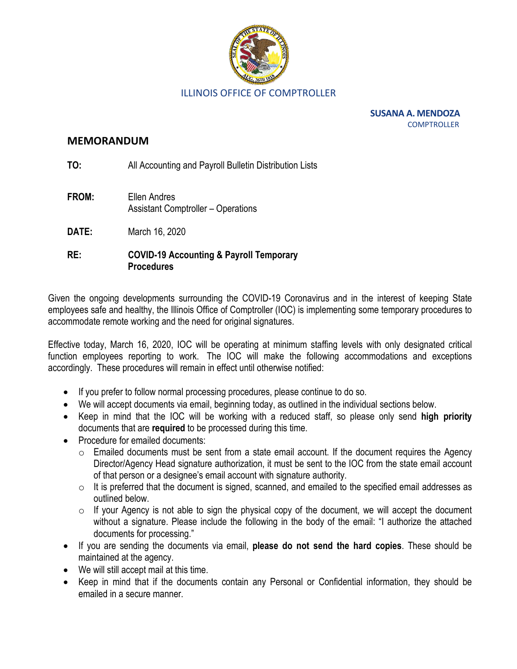

**SUSANA A. MENDOZA COMPTROLLER** 

#### **MEMORANDUM**

**TO:** All Accounting and Payroll Bulletin Distribution Lists

- **FROM:** Ellen Andres Assistant Comptroller – Operations
- **DATE:** March 16, 2020

### **RE: COVID-19 Accounting & Payroll Temporary Procedures**

Given the ongoing developments surrounding the COVID-19 Coronavirus and in the interest of keeping State employees safe and healthy, the Illinois Office of Comptroller (IOC) is implementing some temporary procedures to accommodate remote working and the need for original signatures.

Effective today, March 16, 2020, IOC will be operating at minimum staffing levels with only designated critical function employees reporting to work. The IOC will make the following accommodations and exceptions accordingly. These procedures will remain in effect until otherwise notified:

- If you prefer to follow normal processing procedures, please continue to do so.
- We will accept documents via email, beginning today, as outlined in the individual sections below.
- Keep in mind that the IOC will be working with a reduced staff, so please only send **high priority** documents that are **required** to be processed during this time.
- Procedure for emailed documents:
	- $\circ$  Emailed documents must be sent from a state email account. If the document requires the Agency Director/Agency Head signature authorization, it must be sent to the IOC from the state email account of that person or a designee's email account with signature authority.
	- $\circ$  It is preferred that the document is signed, scanned, and emailed to the specified email addresses as outlined below.
	- $\circ$  If your Agency is not able to sign the physical copy of the document, we will accept the document without a signature. Please include the following in the body of the email: "I authorize the attached documents for processing."
- If you are sending the documents via email, **please do not send the hard copies**. These should be maintained at the agency.
- We will still accept mail at this time.
- Keep in mind that if the documents contain any Personal or Confidential information, they should be emailed in a secure manner.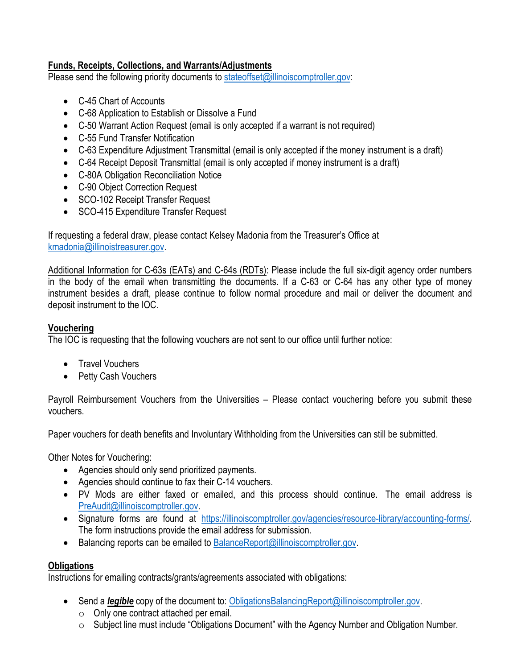# **Funds, Receipts, Collections, and Warrants/Adjustments**

Please send the following priority documents to [stateoffset@illinoiscomptroller.gov:](mailto:stateoffset@illinoiscomptroller.gov)

- C-45 Chart of Accounts
- C-68 Application to Establish or Dissolve a Fund
- C-50 Warrant Action Request (email is only accepted if a warrant is not required)
- C-55 Fund Transfer Notification
- C-63 Expenditure Adjustment Transmittal (email is only accepted if the money instrument is a draft)
- C-64 Receipt Deposit Transmittal (email is only accepted if money instrument is a draft)
- C-80A Obligation Reconciliation Notice
- C-90 Object Correction Request
- SCO-102 Receipt Transfer Request
- SCO-415 Expenditure Transfer Request

If requesting a federal draw, please contact Kelsey Madonia from the Treasurer's Office at [kmadonia@illinoistreasurer.gov.](mailto:kmadonia@illinoistreasurer.gov)

Additional Information for C-63s (EATs) and C-64s (RDTs): Please include the full six-digit agency order numbers in the body of the email when transmitting the documents. If a C-63 or C-64 has any other type of money instrument besides a draft, please continue to follow normal procedure and mail or deliver the document and deposit instrument to the IOC.

### **Vouchering**

The IOC is requesting that the following vouchers are not sent to our office until further notice:

- Travel Vouchers
- Petty Cash Vouchers

Payroll Reimbursement Vouchers from the Universities – Please contact vouchering before you submit these vouchers.

Paper vouchers for death benefits and Involuntary Withholding from the Universities can still be submitted.

Other Notes for Vouchering:

- Agencies should only send prioritized payments.
- Agencies should continue to fax their C-14 vouchers.
- PV Mods are either faxed or emailed, and this process should continue. The email address is [PreAudit@illinoiscomptroller.gov.](mailto:PreAudit@illinoiscomptroller.gov)
- Signature forms are found at [https://illinoiscomptroller.gov/agencies/resource-library/accounting-forms/.](https://illinoiscomptroller.gov/agencies/resource-library/accounting-forms/)  The form instructions provide the email address for submission.
- Balancing reports can be emailed t[o BalanceReport@illinoiscomptroller.gov.](mailto:BalanceReport@illinoiscomptroller.gov)

### **Obligations**

Instructions for emailing contracts/grants/agreements associated with obligations:

- Send a *legible* copy of the document to: [ObligationsBalancingReport@illinoiscomptroller.gov.](mailto:ObligationsBalancingReport@illinoiscomptroller.gov)
	- o Only one contract attached per email.
	- o Subject line must include "Obligations Document" with the Agency Number and Obligation Number.